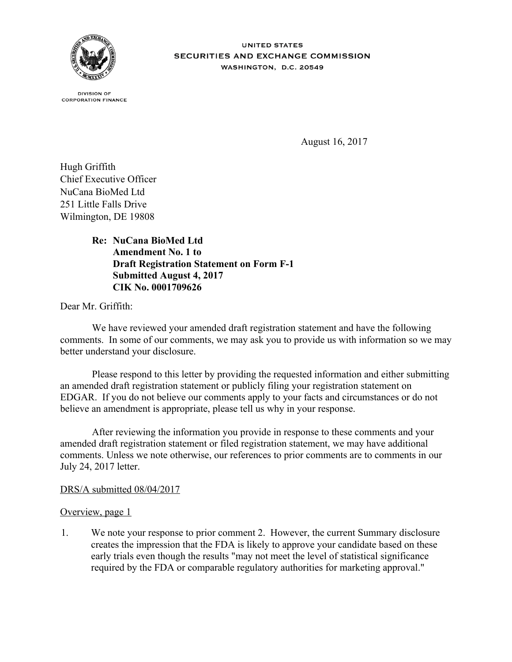

**UNITED STATES** SECURITIES AND EXCHANGE COMMISSION WASHINGTON, D.C. 20549

**DIVISION OF CORPORATION FINANCE** 

August 16, 2017

Hugh Griffith Chief Executive Officer NuCana BioMed Ltd 251 Little Falls Drive Wilmington, DE 19808

> **NuCana BioMed Ltd Re: Amendment No. 1 to Draft Registration Statement on Form F-1 Submitted August 4, 2017 CIK No. 0001709626**

Dear Mr. Griffith:

We have reviewed your amended draft registration statement and have the following comments. In some of our comments, we may ask you to provide us with information so we may better understand your disclosure.

Please respond to this letter by providing the requested information and either submitting an amended draft registration statement or publicly filing your registration statement on EDGAR. If you do not believe our comments apply to your facts and circumstances or do not believe an amendment is appropriate, please tell us why in your response.

After reviewing the information you provide in response to these comments and your amended draft registration statement or filed registration statement, we may have additional comments. Unless we note otherwise, our references to prior comments are to comments in our July 24, 2017 letter.

## DRS/A submitted 08/04/2017

## Overview, page 1

1. We note your response to prior comment 2. However, the current Summary disclosure creates the impression that the FDA is likely to approve your candidate based on these early trials even though the results "may not meet the level of statistical significance required by the FDA or comparable regulatory authorities for marketing approval."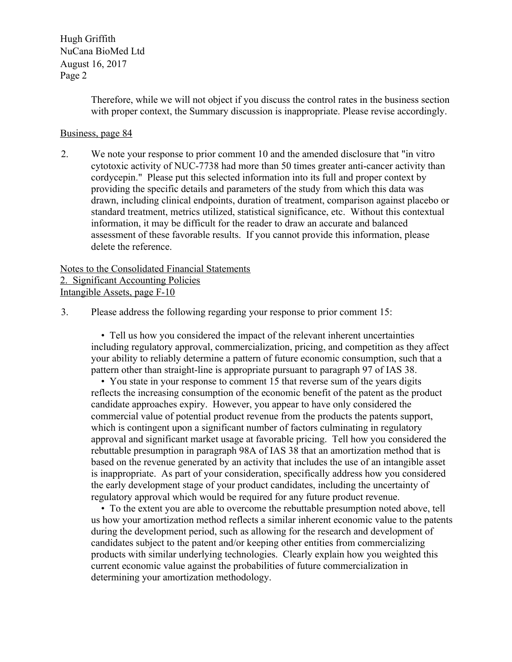Hugh Griffith NuCana BioMed Ltd August 16, 2017 Page 2

> Therefore, while we will not object if you discuss the control rates in the business section with proper context, the Summary discussion is inappropriate. Please revise accordingly.

## Business, page 84

2. We note your response to prior comment 10 and the amended disclosure that "in vitro cytotoxic activity of NUC-7738 had more than 50 times greater anti-cancer activity than cordycepin." Please put this selected information into its full and proper context by providing the specific details and parameters of the study from which this data was drawn, including clinical endpoints, duration of treatment, comparison against placebo or standard treatment, metrics utilized, statistical significance, etc. Without this contextual information, it may be difficult for the reader to draw an accurate and balanced assessment of these favorable results. If you cannot provide this information, please delete the reference.

Notes to the Consolidated Financial Statements 2. Significant Accounting Policies Intangible Assets, page F-10

3. Please address the following regarding your response to prior comment 15:

 • Tell us how you considered the impact of the relevant inherent uncertainties including regulatory approval, commercialization, pricing, and competition as they affect your ability to reliably determine a pattern of future economic consumption, such that a pattern other than straight-line is appropriate pursuant to paragraph 97 of IAS 38.

 • You state in your response to comment 15 that reverse sum of the years digits reflects the increasing consumption of the economic benefit of the patent as the product candidate approaches expiry. However, you appear to have only considered the commercial value of potential product revenue from the products the patents support, which is contingent upon a significant number of factors culminating in regulatory approval and significant market usage at favorable pricing. Tell how you considered the rebuttable presumption in paragraph 98A of IAS 38 that an amortization method that is based on the revenue generated by an activity that includes the use of an intangible asset is inappropriate. As part of your consideration, specifically address how you considered the early development stage of your product candidates, including the uncertainty of regulatory approval which would be required for any future product revenue.

 • To the extent you are able to overcome the rebuttable presumption noted above, tell us how your amortization method reflects a similar inherent economic value to the patents during the development period, such as allowing for the research and development of candidates subject to the patent and/or keeping other entities from commercializing products with similar underlying technologies. Clearly explain how you weighted this current economic value against the probabilities of future commercialization in determining your amortization methodology.